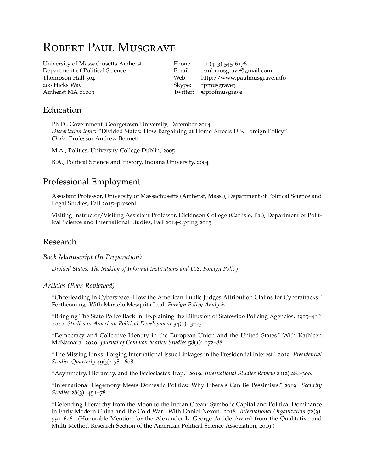# ROBERT PAUL MUSGRAVE

[University of Massachusetts Amherst](http://www.umass.edu/) Department of Political Science Thompson Hall 504 200 Hicks Way Amherst MA 01003

Phone:  $+1$  (413) 545-6176 Email: [paul.musgrave@gmail.com](mailto:paul.musgrave@gmail.com) Web: <http://www.paulmusgrave.info> Skype: rpmusgrave3 Twitter: @profmusgrave

## Education

Ph.D., Government, Georgetown University, December 2014 *Dissertation topic*: "Divided States: How Bargaining at Home Affects U.S. Foreign Policy" *Chair*: Professor Andrew Bennett

M.A., Politics, University College Dublin, 2005

B.A., Political Science and History, Indiana University, 2004

# Professional Employment

Assistant Professor, University of Massachusetts (Amherst, Mass.), Department of Political Science and Legal Studies, Fall 2015–present.

Visiting Instructor/Visiting Assistant Professor, Dickinson College (Carlisle, Pa.), Department of Political Science and International Studies, Fall 2014–Spring 2015.

## Research

#### *Book Manuscript (In Preparation)*

*Divided States: The Making of Informal Institutions and U.S. Foreign Policy*

#### *Articles (Peer-Reviewed)*

"Cheerleading in Cyberspace: How the American Public Judges Attribution Claims for Cyberattacks." Forthcoming. With Marcelo Mesquita Leal. *Foreign Policy Analysis*.

"Bringing The State Police Back In: Explaining the Diffusion of Statewide Policing Agencies, 1905–41." 2020. *[Studies in American Political Development](https://www.cambridge.org/core/journals/studies-in-american-political-development/article/bringing-the-state-police-in-the-diffusion-of-us-statewide-policing-agencies-19051941/1C61A832253808CE177BF895939DAC99)* 34(1): 3–23.

["Democracy and Collective Identity in the European Union and the United States."](https://onlinelibrary.wiley.com/doi/10.1111/jcms.12978) With Kathleen McNamara. 2020. *Journal of Common Market Studies* 58(1): 172–88.

"The Missing Links: Forging International Issue Linkages in the Presidential Interest." 2019. *Presidential Studies Quarterly* 49(3): 581-608.

"Asymmetry, Hierarchy, and the Ecclesiastes Trap." 2019. *International Studies Review* 21(2):284-300.

"International Hegemony Meets Domestic Politics: Why Liberals Can Be Pessimists." 2019. *Security Studies* 28(3): 451–78.

"Defending Hierarchy from the Moon to the Indian Ocean: Symbolic Capital and Political Dominance in Early Modern China and the Cold War." With Daniel Nexon. 2018. *International Organization* 72(3): 591–626. (Honorable Mention for the Alexander L. George Article Award from the Qualitative and Multi-Method Research Section of the American Political Science Association, 2019.)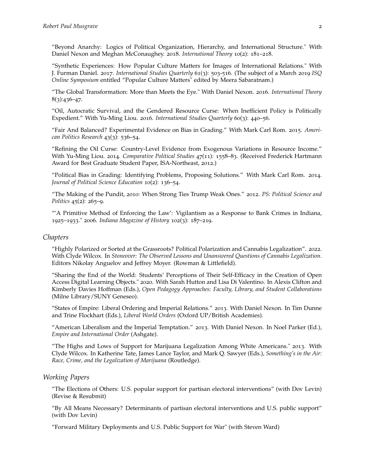"Beyond Anarchy: Logics of Political Organization, Hierarchy, and International Structure." With Daniel Nexon and Meghan McConaughey. 2018. *International Theory* 10(2): 181–218.

"Synthetic Experiences: How Popular Culture Matters for Images of International Relations." With J. Furman Daniel. 2017. *International Studies Quarterly* 61(3): 503-516. (The subject of a March 2019 *[ISQ](https://dataverse.harvard.edu/dataset.xhtml?persistentId=doi:10.7910/DVN/OEBTZA) Online Symposium* [entitled "Popular Culture Matters" edited by Meera Sabaratnam.\)](https://dataverse.harvard.edu/dataset.xhtml?persistentId=doi:10.7910/DVN/OEBTZA)

"The Global Transformation: More than Meets the Eye." With Daniel Nexon. 2016. *International Theory*  $8(3):436-47.$ 

"Oil, Autocratic Survival, and the Gendered Resource Curse: When Inefficient Policy is Politically Expedient." With Yu-Ming Liou. 2016. *International Studies Quarterly* 60(3): 440–56.

"Fair And Balanced? Experimental Evidence on Bias in Grading." With Mark Carl Rom. 2015. *American Politics Research* 43(3): 536–54.

"Refining the Oil Curse: Country-Level Evidence from Exogenous Variations in Resource Income." With Yu-Ming Liou. 2014. *Comparative Political Studies* 47(11): 1558–83. (Received Frederick Hartmann Award for Best Graduate Student Paper, ISA-Northeast, 2012.)

"Political Bias in Grading: Identifying Problems, Proposing Solutions." With Mark Carl Rom. 2014. *Journal of Political Science Education* 10(2): 136–54.

"The Making of the Pundit, 2010: When Strong Ties Trump Weak Ones." 2012. *PS: Political Science and Politics* 45(2): 265–9.

["'A Primitive Method of Enforcing the Law': Vigilantism as a Response to Bank Crimes in Indiana,](http://webapp1.dlib.indiana.edu/imh/view.do?docId=VAA4025-102-3-a01) [1925](http://webapp1.dlib.indiana.edu/imh/view.do?docId=VAA4025-102-3-a01)–1933." 2006. *Indiana Magazine of History* 102(3): 187–219.

#### *Chapters*

"Highly Polarized or Sorted at the Grassroots? Political Polarization and Cannabis Legalization". 2022. With Clyde Wilcox. In *Stoneover: The Observed Lessons and Unanswered Questions of Cannabis Legalization*. Editors Nikolay Anguelov and Jeffrey Moyer. (Rowman & Littlefield).

"Sharing the End of the World: Students' Perceptions of Their Self-Efficacy in the Creation of Open Access Digital Learning Objects." 2020. With Sarah Hutton and Lisa Di Valentino. In Alexis Clifton and Kimberly Davies Hoffman (Eds.), *Open Pedagogy Approaches: Faculty, Library, and Student Collaborations* (Milne Library/SUNY Geneseo).

"States of Empire: Liberal Ordering and Imperial Relations." 2013. With Daniel Nexon. In Tim Dunne and Trine Flockhart (Eds.), *Liberal World Orders* (Oxford UP/British Academies).

"American Liberalism and the Imperial Temptation." 2013. With Daniel Nexon. In Noel Parker (Ed.), *Empire and International Order* (Ashgate).

"The Highs and Lows of Support for Marijuana Legalization Among White Americans." 2013. With Clyde Wilcox. In Katherine Tate, James Lance Taylor, and Mark Q. Sawyer (Eds.), *Something's in the Air: Race, Crime, and the Legalization of Marijuana* (Routledge).

#### *Working Papers*

"The Elections of Others: U.S. popular support for partisan electoral interventions" (with Dov Levin) (Revise & Resubmit)

"By All Means Necessary? Determinants of partisan electoral interventions and U.S. public support" (with Dov Levin)

"Forward Military Deployments and U.S. Public Support for War" (with Steven Ward)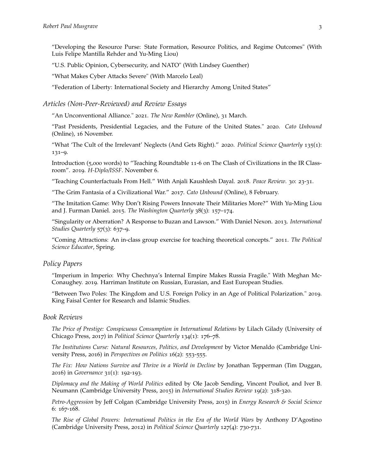"Developing the Resource Purse: State Formation, Resource Politics, and Regime Outcomes" (With Luis Felipe Mantilla Rehder and Yu-Ming Liou)

"U.S. Public Opinion, Cybersecurity, and NATO" (With Lindsey Guenther)

"What Makes Cyber Attacks Severe" (With Marcelo Leal)

"Federation of Liberty: International Society and Hierarchy Among United States"

*Articles (Non-Peer-Reviewed) and Review Essays*

"An Unconventional Alliance." 2021. *[The New Rambler](https://newramblerreview.com/book-reviews/history/an-unconventional-alliance)* (Online), 31 March.

"Past Presidents, Presidential Legacies, and the Future of the United States." 2020. *[Cato Unbound](https://www.cato-unbound.org/2020/11/16/paul-musgrave/past-presidents-presidential-legacies-future-united-states)* [\(Online\),](https://www.cato-unbound.org/2020/11/16/paul-musgrave/past-presidents-presidential-legacies-future-united-states) 16 November.

["What 'The Cult of the Irrelevant' Neglects \(And Gets Right\)."](https://www.psqonline.org/article.cfm?IDArticle=20005) 2020. *Political Science Quarterly* 135(1): 131–9.

Introduction (5,000 words) to "Teaching Roundtable 11-6 on The Clash of Civilizations in the IR Classroom". 2019. *[H-Diplo/ISSF](https://issforum.org/roundtables/11-6-teaching-clash)*. November 6.

"Teaching Counterfactuals From Hell." With Anjali Kaushlesh Dayal. 2018. *Peace Review*. 30: 23-31.

"The Grim Fantasia of a Civilizational War." 2017. *Cato Unbound* [\(Online\),](https://www.cato-unbound.org/2017/02/08/paul-musgrave/grim-fantasia-civilizational-war) 8 February.

"The Imitation Game: Why Don't Rising Powers Innovate Their Militaries More?" With Yu-Ming Liou and J. Furman Daniel. 2015. *The Washington Quarterly* 38(3): 157–174.

"Singularity or Aberration? A Response to Buzan and Lawson." With Daniel Nexon. 2013. *International Studies Quarterly* 57(3): 637–9.

"Coming Attractions: An in-class group exercise for teaching theoretical concepts." 2011. *The Political Science Educator*, Spring.

#### *Policy Papers*

["Imperium in Imperio: Why Chechnya's Internal Empire Makes Russia Fragile."](https://harriman.columbia.edu/event/2019-us-russia-security-workshop) With Meghan Mc-Conaughey. 2019. Harriman Institute on Russian, Eurasian, and East European Studies.

["Between Two Poles: The Kingdom and U.S. Foreign Policy in an Age of Political Polarization."](http://kfcris.com/en/view/post/225) 2019. King Faisal Center for Research and Islamic Studies.

#### *Book Reviews*

*The Price of Prestige: Conspicuous Consumption in International Relations* by Lilach Gilady (University of Chicago Press, 2017) in *Political Science Quarterly* 134(1): 176–78.

*The Institutions Curse: Natural Resources, Politics, and Development* by Victor Menaldo (Cambridge University Press, 2016) in *Perspectives on Politics* 16(2): 553-555.

*The Fix: How Nations Survive and Thrive in a World in Decline* by Jonathan Tepperman (Tim Duggan, 2016) in *Governance* 31(1): 192-193.

*Diplomacy and the Making of World Politics* edited by Ole Jacob Sending, Vincent Pouliot, and Iver B. Neumann (Cambridge University Press, 2015) in *International Studies Review* 19(2): 318-320.

*Petro-Aggression* by Jeff Colgan (Cambridge University Press, 2015) in *Energy Research & Social Science* 6: 167-168.

*The Rise of Global Powers: International Politics in the Era of the World Wars* by Anthony D'Agostino (Cambridge University Press, 2012) in *Political Science Quarterly* 127(4): 730-731.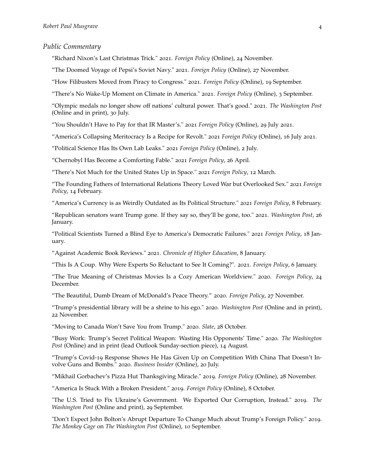#### *Public Commentary*

"Richard Nixon's Last Christmas Trick." 2021. *[Foreign Policy](https://foreignpolicy.com/2021/12/24/nixon-christmas-commercial-flight/)* (Online), 24 November.

"The Doomed Voyage of Pepsi's Soviet Navy." 2021. *[Foreign Policy](https://foreignpolicy.com/2021/11/27/pepsi-navy-soviet-ussr/?tpcc=recirc_latest062921)* (Online), 27 November.

"How Filibusters Moved from Piracy to Congress." 2021. *[Foreign Policy](https://foreignpolicy.com/2021/09/19/how-filibusters-moved-from-piracy-to-congress/)* (Online), 19 September.

"There's No Wake-Up Moment on Climate in America." 2021. *[Foreign Policy](https://foreignpolicy.com/2021/09/03/climate-change-flood-fire-us-policy/)* (Online), 3 September.

"Olympic medals no longer show off nations' cultural power. That's good." 2021. *[The Washington Post](https://www.washingtonpost.com/outlook/olympics-medal-count-soft-power-china-us/2021/07/29/1a358a38-f088-11eb-a452-4da5fe48582d_story.html)* [\(Online and in print\),](https://www.washingtonpost.com/outlook/olympics-medal-count-soft-power-china-us/2021/07/29/1a358a38-f088-11eb-a452-4da5fe48582d_story.html) 30 July.

"You Shouldn't Have to Pay for that IR Master's." 2021 *[Foreign Policy](https://foreignpolicy.com/2021/07/29/international-relations-ir-masters-cost-pay/)* (Online), 29 July 2021.

"America's Collapsing Meritocracy Is a Recipe for Revolt." 2021 *[Foreign Policy](https://foreignpolicy.com/2021/07/16/taiping-rebellion-addison-rae-meritocracy-exams-rebellion/)* (Online), 16 July 2021.

"Political Science Has Its Own Lab Leaks." 2021 *[Foreign Policy](https://foreignpolicy.com/2021/07/03/political-science-dangerous-lab-leaks/)* (Online), 2 July.

"Chernobyl Has Become a Comforting Fable." 2021 *[Foreign Policy](https://foreignpolicy.com/2021/04/26/chernobyl-soviet-union-united-states-authoritarian-failure-fable-35-years/)*, 26 April.

"There's Not Much for the United States Up in Space." 2021 *[Foreign Policy](https://foreignpolicy.com/2021/03/12/space-race-moon-mars-soviets-nasa/)*, 12 March.

"The Founding Fathers of International Relations Theory Loved War but Overlooked Sex." 2021 *[Foreign](https://foreignpolicy.com/2021/02/14/the-founding-fathers-of-international-relations-theory-loved-war-but-overlooked-sex/) [Policy](https://foreignpolicy.com/2021/02/14/the-founding-fathers-of-international-relations-theory-loved-war-but-overlooked-sex/)*, 14 February.

"America's Currency is as Weirdly Outdated as Its Political Structure." 2021 *[Foreign Policy](https://foreignpolicy.com/2021/02/09/america-currency-outdated-tubman-jackson/)*, 8 February.

"Republican senators want Trump gone. If they say so, they'll be gone, too." 2021. *[Washington Post](https://www.washingtonpost.com/outlook/2021/01/26/game-theory-impeachment-cruz-hawley/)*, 26 January.

"Political Scientists Turned a Blind Eye to America's Democratic Failures." 2021 *[Foreign Policy](https://foreignpolicy.com/2021/01/18/political-scientists-turned-a-blind-eye-to-americas-democratic-failures/)*, 18 January.

"Against Academic Book Reviews." 2021. *[Chronicle of Higher Education](https://www.chronicle.com/article/against-academic-book-reviews)*, 8 January.

"This Is A Coup. Why Were Experts So Reluctant to See It Coming?". 2021. *[Foreign Policy](https://foreignpolicy.com/2021/01/06/coup-america-capitol-electoral-college-2020-election/)*, 6 January.

"The True Meaning of Christmas Movies Is a Cozy American Worldview." 2020. *[Foreign Policy](https://foreignpolicy.com/2020/12/24/christmas-hallmark-lifetime-prince/)*, 24 December.

"The Beautiful, Dumb Dream of McDonald's Peace Theory." 2020. *[Foreign Policy](https://foreignpolicy.com/2020/11/26/mcdonalds-peace-nagornokarabakh-friedman/)*, 27 November.

"Trump's presidential library will be a shrine to his ego." 2020. *Washington Post* [\(Online and in print\),](https://www.washingtonpost.com/outlook/trump-presidential-library-narrative/2020/11/17/fcd27b9e-1edd-11eb-ba21-f2f001f0554b_story.html) 22 [November.](https://www.washingtonpost.com/outlook/trump-presidential-library-narrative/2020/11/17/fcd27b9e-1edd-11eb-ba21-f2f001f0554b_story.html)

"Moving to Canada Won't Save You from Trump." 2020. *[Slate](https://slate.com/news-and-politics/2020/10/move-to-canada-trump.html)*, 28 October.

"Busy Work: Trump's Secret Political Weapon: Wasting His Opponents' Time." 2020. *The Washington Post* [\(Online\)](https://www.washingtonpost.com/outlook/2020/08/14/trump-waste-time-opponents/?arc404=true) and in print (lead Outlook Sunday-section piece), 14 August.

"Trump's Covid-19 Response Shows He Has Given Up on Competition With China That Doesn't Involve Guns and Bombs." 2020. *Business Insider* [\(Online\),](https://www.businessinsider.com/covid-19-us-inability-to-compete-beyond-military-power-2020-7) 20 July.

"Mikhail Gorbachev's Pizza Hut Thanksgiving Miracle." 2019. *Foreign Policy* [\(Online\),](https://foreignpolicy.com/2019/11/28/mikhail-gorbachev-pizza-hut-ad-thanksgiving-miracle/) 28 November.

"America Is Stuck With a Broken President." 2019. *Foreign Policy* [\(Online\),](https://foreignpolicy.com/2019/10/08/america-is-stuck-with-a-broken-president/) 8 October.

"The U.S. Tried to Fix Ukraine's Government. We Exported Our Corruption, Instead." 2019. *The Washington Post* [\(Online](https://www.washingtonpost.com/outlook/2019/09/25/us-tried-fix-ukraines-government-we-exported-our-corruption-instead/) and print), 29 September.

"Don't Expect John Bolton's Abrupt Departure To Change Much about Trump's Foreign Policy." 2019. *The Monkey Cage* on *The Washington Post* [\(Online\),](https://www.washingtonpost.com/politics/2019/09/10/dont-expect-john-boltons-abrupt-departure-change-much-about-trumps-foreign-policy/) 10 September.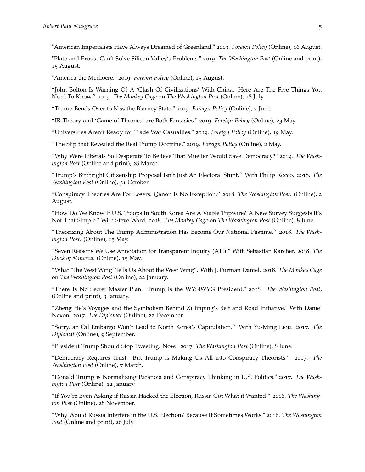"American Imperialists Have Always Dreamed of Greenland." 2019. *Foreign Policy* [\(Online\),](https://foreignpolicy.com/2019/08/16/american-imperialists-have-always-dreamed-of-greenland/) 16 August.

"Plato and Proust Can't Solve Silicon Valley's Problems." 2019. *The Washington Post* [\(Online](https://www.washingtonpost.com/outlook/2019/08/15/plato-proust-cant-save-silicon-valley/?arc404=true) and print), 15 August.

"America the Mediocre." 2019. *Foreign Policy* [\(Online\),](https://foreignpolicy.com/2019/08/15/america-the-mediocre/) 15 August.

"John Bolton Is Warning Of A 'Clash Of Civilizations' With China. Here Are The Five Things You Need To Know." 2019. *The Monkey Cage* on *The Washington Post* [\(Online\),](https://www.washingtonpost.com/politics/2019/07/18/john-bolton-is-warning-clash-civilizations-with-china-here-are-five-things-you-need-know/?utm_term=.ed5e58f9788a) 18 July.

"Trump Bends Over to Kiss the Blarney State." 2019. *Foreign Policy* [\(Online\),](https://foreignpolicy.com/2019/06/02/trump-bends-over-to-kiss-the-blarney-state/) 2 June.

"IR Theory and 'Game of Thrones' are Both Fantasies." 2019. *Foreign Policy* [\(Online\),](https://foreignpolicy.com/2019/05/23/ir-theory-and-game-of-thrones-are-both-fantasies/) 23 May.

"Universities Aren't Ready for Trade War Casualties." 2019. *Foreign Policy* [\(Online\),](https://foreignpolicy.com/2019/05/19/universities-arent-ready-for-trade-war-casualties-china-trump-us/) 19 May.

"The Slip that Revealed the Real Trump Doctrine." 2019. *Foreign Policy* [\(Online\),](https://foreignpolicy.com/2019/05/02/the-slip-that-revealed-the-real-trump-doctrine/) 2 May.

"Why Were Liberals So Desperate To Believe That Mueller Would Save Democracy?" 2019. *The Washington Post* [\(Online](https://www.washingtonpost.com/outlook/why-were-liberals-so-desperate-to-believe-that-mueller-would-save-democracy/2019/03/28/0b8a3286-50cb-11e9-8d28-f5149e5a2fda_story.html?utm_term=.7e63a0e7655c) and print), 28 March.

"Trump's Birthright Citizenship Proposal Isn't Just An Electoral Stunt." With Philip Rocco. 2018. *The Washington Post* [\(Online\),](https://www.washingtonpost.com/outlook/2018/10/31/trumps-birthright-citizenship-proposal-isnt-just-an-electoral-stunt/) 31 October.

"Conspiracy Theories Are For Losers. Qanon Is No Exception." 2018. *The Washington Post*. [\(Online\),](https://www.washingtonpost.com/news/posteverything/wp/2018/08/02/conspiracy-theories-are-for-losers-qanon-is-no-exception/?noredirect=on&utm_term=.6298adb89b27) 2 August.

"How Do We Know If U.S. Troops In South Korea Are A Viable Tripwire? A New Survey Suggests It's Not That Simple." With Steve Ward. 2018. *The Monkey Cage* on *The Washington Post* [\(Online\),](https://www.washingtonpost.com/news/monkey-cage/wp/2018/06/08/how-do-we-know-if-u-s-troops-in-south-korea-are-a-viable-tripwire-a-new-survey-suggests-its-not-that-simple/?utm_term=.b2b7ebcad531) 8 June.

"Theorizing About The Trump Administration Has Become Our National Pastime." 2018. *The Washington Post*. [\(Online\),](https://www.washingtonpost.com/news/posteverything/wp/2018/05/15/theorizing-about-the-trump-administration-has-become-our-national-pastime/?utm_term=.be60b28ce69d) 15 May.

"Seven Reasons We Use Annotation for Transparent Inquiry (ATI)." With Sebastian Karcher. 2018. *The Duck of Minerva*. [\(Online\),](http://duckofminerva.com/2018/05/seven-reasons-we-use-annotation-for-transparent-inquiry-ati.html) 15 May.

"What 'The West Wing' Tells Us About the West Wing". With J. Furman Daniel. 2018. *The Monkey Cage* on *The Washington Post* [\(Online\),](https://www.washingtonpost.com/news/monkey-cage/wp/2018/01/22/what-the-west-wing-tells-us-about-the-west-wing/?utm_term=.b73bb3b52c03) 22 January.

"There Is No Secret Master Plan. Trump is the WYSIWYG President." 2018. *The Washington Post*, [\(Online](https://www.washingtonpost.com/news/posteverything/wp/2018/01/03/there-is-no-secret-master-plan-trump-is-the-wysiwyg-president/?utm_term=.cb45843eba1d) and print), 3 January.

"Zheng He's Voyages and the Symbolism Behind Xi Jinping's Belt and Road Initiative." With Daniel Nexon. 2017. *The Diplomat* [\(Online\),](https://thediplomat.com/2017/12/zheng-hes-voyages-and-the-symbolism-behind-xi-jinpings-belt-and-road-initiative/) 22 December.

"Sorry, an Oil Embargo Won't Lead to North Korea's Capitulation." With Yu-Ming Liou. 2017. *The Diplomat* [\(Online\),](https://thediplomat.com/2017/09/sorry-an-oil-embargo-wont-lead-to-north-koreas-capitulation/) 9 September.

"President Trump Should Stop Tweeting. Now." 2017. *The Washington Post* [\(Online\),](https://www.washingtonpost.com/posteverything/wp/2017/06/08/president-trump-should-stop-tweeting-now/?utm_term=.568e12222e76) 8 June.

"Democracy Requires Trust. But Trump is Making Us All into Conspiracy Theorists." 2017. *The Washington Post* [\(Online\),](https://www.washingtonpost.com/posteverything/wp/2017/03/07/democracy-requires-trust-but-trump-is-making-us-all-into-conspiracy-theorists/?utm_term=.37c54739003b) 7 March.

"Donald Trump is Normalizing Paranoia and Conspiracy Thinking in U.S. Politics." 2017. *The Washington Post* [\(Online\),](https://www.washingtonpost.com/posteverything/wp/2017/01/12/donald-trump-has-brought-us-the-american-style-in-paranoid-politics/?utm_term=.5aecf4e0da7c) 12 January.

"If You're Even Asking if Russia Hacked the Election, Russia Got What it Wanted." 2016. *The Washington Post* [\(Online\),](https://www.washingtonpost.com/posteverything/wp/2016/11/28/whether-or-not-russians-hacked-the-election-they-messed-with-our-democracy/?utm_term=.3422e04d4411) 28 November.

"Why Would Russia Interfere in the U.S. Election? Because It Sometimes Works." 2016. *The Washington Post* [\(Online](https://www.washingtonpost.com/posteverything/wp/2016/07/26/why-would-russia-interfere-in-the-u-s-election-because-it-usually-works/?utm_term=.2669fc26ac4e) and print), 26 July.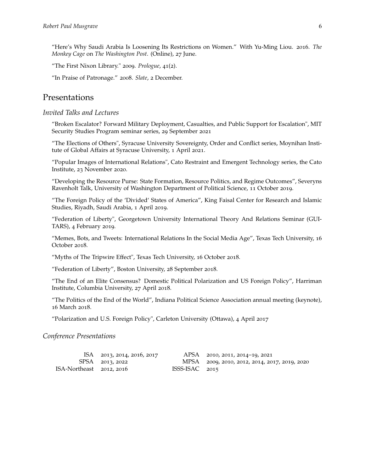"Here's Why Saudi Arabia Is Loosening Its Restrictions on Women." With Yu-Ming Liou. 2016. *The Monkey Cage* on *The Washington Post*. [\(Online\),](https://www.washingtonpost.com/news/monkey-cage/wp/2016/06/27/heres-why-saudi-arabia-is-loosening-its-restrictions-on-women/) 27 June.

"The First Nixon Library." 2009. *Prologue*, 41(2).

["In Praise of Patronage.](http://www.slate.com/id/2205848/)" 2008. *Slate*, 2 December.

## Presentations

#### *Invited Talks and Lectures*

"Broken Escalator? Forward Military Deployment, Casualties, and Public Support for Escalation", MIT Security Studies Program seminar series, 29 September 2021

"The Elections of Others", Syracuse University Sovereignty, Order and Conflict series, Moynihan Institute of Global Affairs at Syracuse University, 1 April 2021.

"Popular Images of International Relations", Cato Restraint and Emergent Technology series, the Cato Institute, 23 November 2020.

"Developing the Resource Purse: State Formation, Resource Politics, and Regime Outcomes", Severyns Ravenholt Talk, University of Washington Department of Political Science, 11 October 2019.

"The Foreign Policy of the 'Divided' States of America", King Faisal Center for Research and Islamic Studies, Riyadh, Saudi Arabia, 1 April 2019.

"Federation of Liberty", Georgetown University International Theory And Relations Seminar (GUI-TARS), 4 February 2019.

"Memes, Bots, and Tweets: International Relations In the Social Media Age", Texas Tech University, 16 October 2018.

"Myths of The Tripwire Effect", Texas Tech University, 16 October 2018.

"Federation of Liberty", Boston University, 28 September 2018.

"The End of an Elite Consensus? Domestic Political Polarization and US Foreign Policy", Harriman Institute, Columbia University, 27 April 2018.

"The Politics of the End of the World", Indiana Political Science Association annual meeting (keynote), 16 March 2018.

"Polarization and U.S. Foreign Policy", Carleton University (Ottawa), 4 April 2017

#### *Conference Presentations*

|                          | ISA 2013, 2014, 2016, 2017 |                  | APSA 2010, 2011, 2014–19, 2021                |
|--------------------------|----------------------------|------------------|-----------------------------------------------|
|                          | SPSA 2013, 2022            |                  | MPSA 2009, 2010, 2012, 2014, 2017, 2019, 2020 |
| ISA-Northeast 2012, 2016 |                            | $ISSS-ISAC$ 2015 |                                               |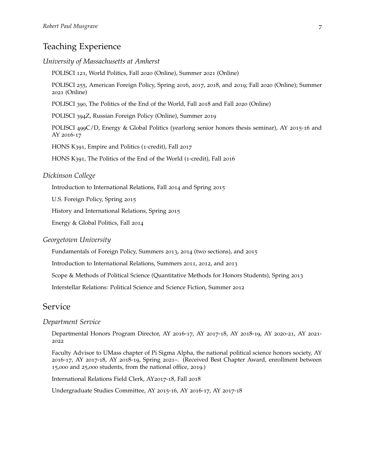## Teaching Experience

#### *University of Massachusetts at Amherst*

POLISCI 121, World Politics, Fall 2020 (Online), Summer 2021 (Online)

POLISCI 255, American Foreign Policy, Spring 2016, 2017, 2018, and 2019; Fall 2020 (Online); Summer 2021 (Online)

POLISCI 390, The Politics of the End of the World, Fall 2018 and Fall 2020 (Online)

POLISCI 394Z, Russian Foreign Policy (Online), Summer 2019

POLISCI 499C/D, Energy & Global Politics (yearlong senior honors thesis seminar), AY 2015-16 and AY 2016-17

HONS K391, Empire and Politics (1-credit), Fall 2017

HONS K391, The Politics of the End of the World (1-credit), Fall 2016

#### *Dickinson College*

Introduction to International Relations, Fall 2014 and Spring 2015

U.S. Foreign Policy, Spring 2015

History and International Relations, Spring 2015

Energy & Global Politics, Fall 2014

#### *Georgetown University*

Fundamentals of Foreign Policy, Summers 2013, 2014 (two sections), and 2015

Introduction to International Relations, Summers 2011, 2012, and 2013

Scope & Methods of Political Science (Quantitative Methods for Honors Students), Spring 2013

Interstellar Relations: Political Science and Science Fiction, Summer 2012

### Service

#### *Department Service*

Departmental Honors Program Director, AY 2016-17, AY 2017-18, AY 2018-19, AY 2020-21, AY 2021- 2022

Faculty Advisor to UMass chapter of Pi Sigma Alpha, the national political science honors society, AY 2016-17, AY 2017-18, AY 2018-19, Spring 2021–. (Received Best Chapter Award, enrollment between 15,000 and 25,000 students, from the national office, 2019.)

International Relations Field Clerk, AY2017-18, Fall 2018

Undergraduate Studies Committee, AY 2015-16, AY 2016-17, AY 2017-18